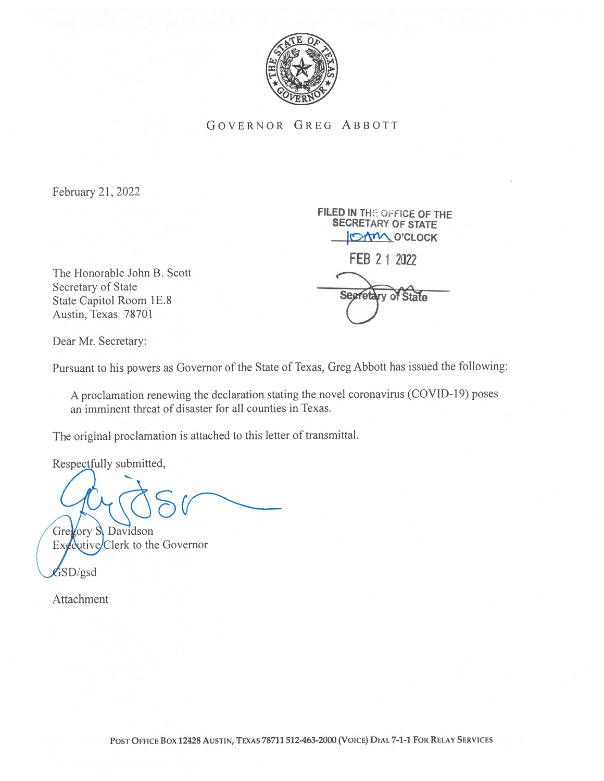

GOVERNOR GREG ABBOTT

February 21, 2022

IOAM O'CLOCK FEB 2 1 2022 State Capitol Room 1E.8 Segretary of State

FILED IN THE OFFICE OF THE SECRETARY OF STATE

Dear Mr. Secretary:

Austin, Texas 78701

Secretary of State

The Honorable John B. Scott

Pursuant to his powers as Governor of the State of Texas, Greg Abbott has issued the following:

A proclamation renewing the declaration stating the novel coronavirus (COVID- 19) poses an imminent threat of disaster for all counties in Texas.

The original proclamation is attached to this letter of transmittal.

Respectfully submitted,

Gregory S. Davidson  $Ex$ *d*ecutive/Clerk to the Governor

 $$SD/gsd$$ 

Attachment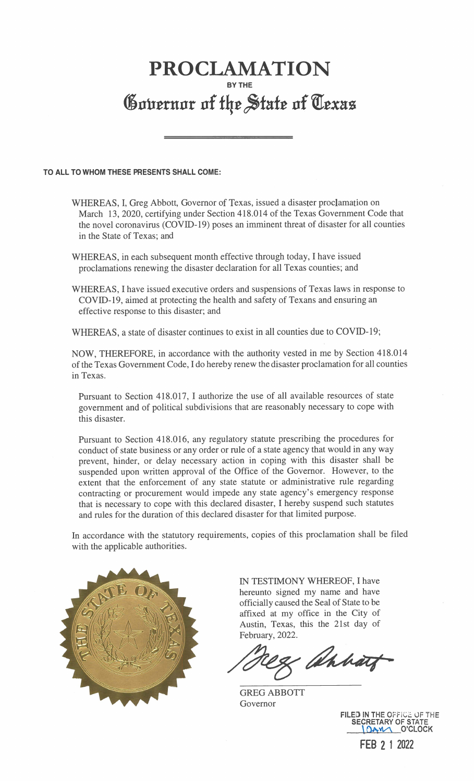## PROCLAMATION BY THE Governor of the State of Texas

## TO ALL TO WHOM THESE PRESENTS SHALL COME:

- WHEREAS, I, Greg Abbott, Governor of Texas, issued a disaster proclamation on March 13, 2020, certifying under Section 418.014 of the Texas Government Code that the novel coronavirus (COVJD-19) poses an imminent threat of disaster for all counties in the State of Texas; and
- WHEREAS, in each subsequent month effective through today, I have issued proclamations renewing the disaster declaration for all Texas counties; and
- WHEREAS, I have issued executive orders and suspensions of Texas laws in response to COVID- 19, aimed at protecting the health and safety of Texans and ensuring an effective response to this disaster; and

WHEREAS, a state of disaster continues to exist in all counties due to COVID-19;

NOW, THEREFORE, in accordance with the authority vested in me by Section 418.014 of the Texas Government Code, I do hereby renew the disaster proclamation for all counties in Texas.

Pursuant to Section 418.017, I authorize the use of all available resources of state government and of political subdivisions that are reasonably necessary to cope with this disaster.

Pursuant to Section 418.016, any regulatory statute prescribing the procedures for conduct of state business or any order or rule of a state agency that would in any way prevent, hinder, or delay necessary action in coping with this disaster shall be suspended upon written approval of the Office of the Governor. However, to the extent that the enforcement of any state statute or administrative rule regarding contracting or procurement would impede any state agency's emergency response that is necessary to cope with this declared disaster, I hereby suspend such statutes and rules for the duration of this declared disaster for that limited purpose.

In accordance with the statutory requirements, copies of this proclamation shall be filed with the applicable authorities.



IN TESTIMONY WHEREOF, I have hereunto signed my name and have officially caused the Seal of State to be affixed at my office in the City of Austin, Texas, this the 21st day of February, 2022.

Markat

GREG ABBOTT Governor

FILED IN THE OFFICE OF THE SECRETARY OF STATE O'CLOCK FEB 2 <sup>1</sup> 2022